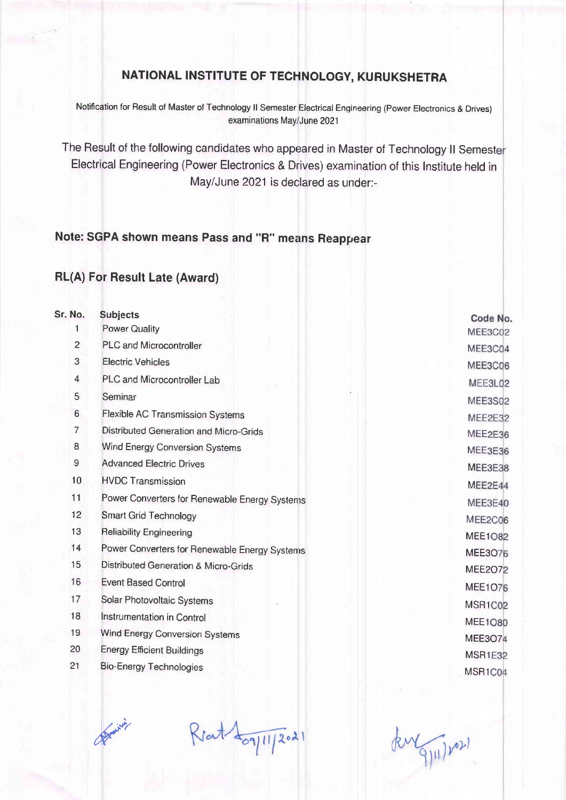## NATIONAL INSTITUTE OF TECHNOLOGY, KURUKSHETRA

Notification for Result of Master of Technology II Semester Electrical Engineering (Power Electronics & Drives) examinations May/June 202'l

The Result of the following candidates who appeared in Master of Technology ll Semest Electrical Engineering (Power Electronics & Drives) examination of this lnstitute held in May/June 2021 is declared as under:-

## Note: SGPA shown means Pass and "R" means Reappear

## RL(A) For Result Late (Award)

| Sr. No.        | <b>Subjects</b>                               |    |
|----------------|-----------------------------------------------|----|
| 1              | <b>Power Quality</b>                          | M  |
| $\overline{2}$ | <b>PLC and Microcontroller</b>                | M  |
| 3              | <b>Electric Vehicles</b>                      | M  |
| 4              | PLC and Microcontroller Lab                   | N  |
| 5              | Seminar                                       | M  |
| 6              | Flexible AC Transmission Systems              | M  |
| $\overline{7}$ | Distributed Generation and Micro-Grids        | M  |
| 8              | <b>Wind Energy Conversion Systems</b>         | M  |
| 9              | <b>Advanced Electric Drives</b>               | M  |
| 10             | <b>HVDC Transmission</b>                      | M  |
| 11             | Power Converters for Renewable Energy Systems | M  |
| 12             | <b>Smart Grid Technology</b>                  | M  |
| 13             | <b>Reliability Engineering</b>                | M  |
| 14             | Power Converters for Renewable Energy Systems | M  |
| 15             | Distributed Generation & Micro-Grids          | M  |
| 16             | <b>Event Based Control</b>                    | M  |
| 17             | Solar Photovoltaic Systems                    | M  |
| 18             | Instrumentation in Control                    | M  |
| 19             | Wind Energy Conversion Systems                | MI |
| 20             | <b>Energy Efficient Buildings</b>             | M: |
| 21             | <b>Bio-Energy Technologies</b>                | M. |
|                |                                               |    |

Code No. EE3C02 EE3C04 EE3C06 IEE3L02 IEE3S02 IEE2E32 IEE2E36 IEE3E36 EE2E44 IEE3E40 EE2C06 EE1082 EE3O76 EE2072 EE1O76 SR<sub>1</sub>C<sub>02</sub> EE1O80 EE3O74 **SR1E32** SR<sub>1</sub>C<sub>04</sub>

Marine

 $R$ rat $4$ og[1] 2021

kurgju/var)